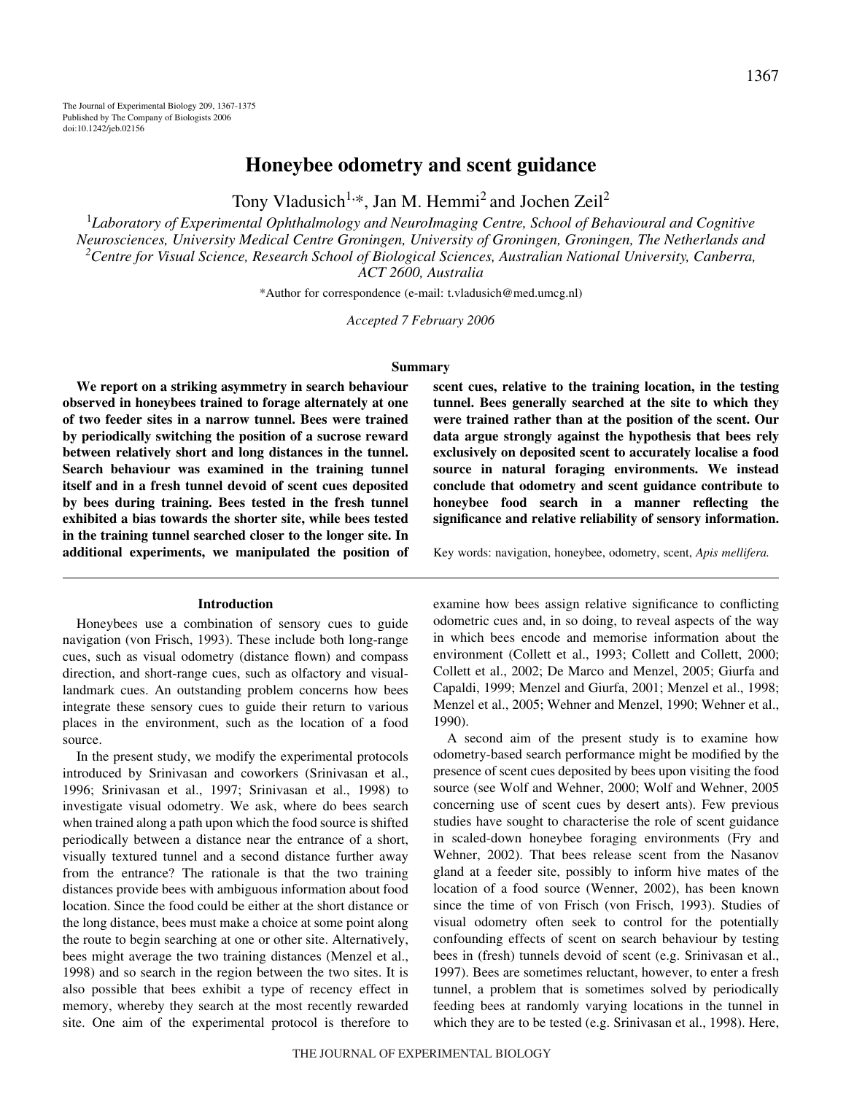# **Honeybee odometry and scent guidance**

Tony Vladusich<sup>1,\*</sup>, Jan M. Hemmi<sup>2</sup> and Jochen Zeil<sup>2</sup>

1 *Laboratory of Experimental Ophthalmology and NeuroImaging Centre, School of Behavioural and Cognitive Neurosciences, University Medical Centre Groningen, University of Groningen, Groningen, The Netherlands and 2 Centre for Visual Science, Research School of Biological Sciences, Australian National University, Canberra, ACT 2600, Australia*

\*Author for correspondence (e-mail: t.vladusich@med.umcg.nl)

*Accepted 7 February 2006*

#### **Summary**

**We report on a striking asymmetry in search behaviour observed in honeybees trained to forage alternately at one of two feeder sites in a narrow tunnel. Bees were trained by periodically switching the position of a sucrose reward between relatively short and long distances in the tunnel. Search behaviour was examined in the training tunnel itself and in a fresh tunnel devoid of scent cues deposited by bees during training. Bees tested in the fresh tunnel exhibited a bias towards the shorter site, while bees tested in the training tunnel searched closer to the longer site. In additional experiments, we manipulated the position of**

#### **Introduction**

Honeybees use a combination of sensory cues to guide navigation (von Frisch, 1993). These include both long-range cues, such as visual odometry (distance flown) and compass direction, and short-range cues, such as olfactory and visuallandmark cues. An outstanding problem concerns how bees integrate these sensory cues to guide their return to various places in the environment, such as the location of a food source.

In the present study, we modify the experimental protocols introduced by Srinivasan and coworkers (Srinivasan et al., 1996; Srinivasan et al., 1997; Srinivasan et al., 1998) to investigate visual odometry. We ask, where do bees search when trained along a path upon which the food source is shifted periodically between a distance near the entrance of a short, visually textured tunnel and a second distance further away from the entrance? The rationale is that the two training distances provide bees with ambiguous information about food location. Since the food could be either at the short distance or the long distance, bees must make a choice at some point along the route to begin searching at one or other site. Alternatively, bees might average the two training distances (Menzel et al., 1998) and so search in the region between the two sites. It is also possible that bees exhibit a type of recency effect in memory, whereby they search at the most recently rewarded site. One aim of the experimental protocol is therefore to

**scent cues, relative to the training location, in the testing tunnel. Bees generally searched at the site to which they were trained rather than at the position of the scent. Our data argue strongly against the hypothesis that bees rely exclusively on deposited scent to accurately localise a food source in natural foraging environments. We instead conclude that odometry and scent guidance contribute to honeybee food search in a manner reflecting the significance and relative reliability of sensory information.**

Key words: navigation, honeybee, odometry, scent, *Apis mellifera.*

examine how bees assign relative significance to conflicting odometric cues and, in so doing, to reveal aspects of the way in which bees encode and memorise information about the environment (Collett et al., 1993; Collett and Collett, 2000; Collett et al., 2002; De Marco and Menzel, 2005; Giurfa and Capaldi, 1999; Menzel and Giurfa, 2001; Menzel et al., 1998; Menzel et al., 2005; Wehner and Menzel, 1990; Wehner et al., 1990).

A second aim of the present study is to examine how odometry-based search performance might be modified by the presence of scent cues deposited by bees upon visiting the food source (see Wolf and Wehner, 2000; Wolf and Wehner, 2005 concerning use of scent cues by desert ants). Few previous studies have sought to characterise the role of scent guidance in scaled-down honeybee foraging environments (Fry and Wehner, 2002). That bees release scent from the Nasanov gland at a feeder site, possibly to inform hive mates of the location of a food source (Wenner, 2002), has been known since the time of von Frisch (von Frisch, 1993). Studies of visual odometry often seek to control for the potentially confounding effects of scent on search behaviour by testing bees in (fresh) tunnels devoid of scent (e.g. Srinivasan et al., 1997). Bees are sometimes reluctant, however, to enter a fresh tunnel, a problem that is sometimes solved by periodically feeding bees at randomly varying locations in the tunnel in which they are to be tested (e.g. Srinivasan et al., 1998). Here,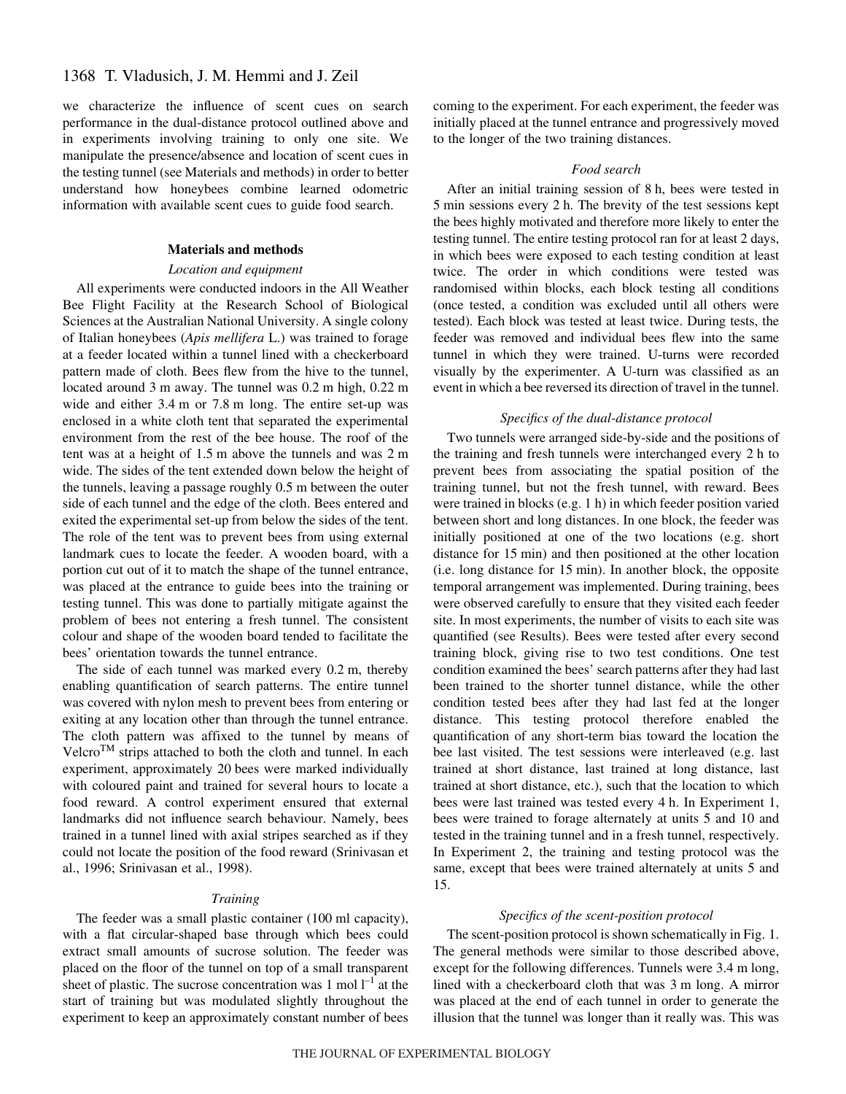we characterize the influence of scent cues on search performance in the dual-distance protocol outlined above and in experiments involving training to only one site. We manipulate the presence/absence and location of scent cues in the testing tunnel (see Materials and methods) in order to better understand how honeybees combine learned odometric information with available scent cues to guide food search.

# **Materials and methods**

### *Location and equipment*

All experiments were conducted indoors in the All Weather Bee Flight Facility at the Research School of Biological Sciences at the Australian National University. A single colony of Italian honeybees (*Apis mellifera* L.) was trained to forage at a feeder located within a tunnel lined with a checkerboard pattern made of cloth. Bees flew from the hive to the tunnel, located around 3 m away. The tunnel was 0.2 m high, 0.22 m wide and either  $3.4 \text{ m}$  or  $7.8 \text{ m}$  long. The entire set-up was enclosed in a white cloth tent that separated the experimental environment from the rest of the bee house. The roof of the tent was at a height of  $1.5 \text{ m}$  above the tunnels and was  $2 \text{ m}$ wide. The sides of the tent extended down below the height of the tunnels, leaving a passage roughly  $0.5 \text{ m}$  between the outer side of each tunnel and the edge of the cloth. Bees entered and exited the experimental set-up from below the sides of the tent. The role of the tent was to prevent bees from using external landmark cues to locate the feeder. A wooden board, with a portion cut out of it to match the shape of the tunnel entrance, was placed at the entrance to guide bees into the training or testing tunnel. This was done to partially mitigate against the problem of bees not entering a fresh tunnel. The consistent colour and shape of the wooden board tended to facilitate the bees' orientation towards the tunnel entrance.

The side of each tunnel was marked every  $0.2 m$ , thereby enabling quantification of search patterns. The entire tunnel was covered with nylon mesh to prevent bees from entering or exiting at any location other than through the tunnel entrance. The cloth pattern was affixed to the tunnel by means of VelcroTM strips attached to both the cloth and tunnel. In each experiment, approximately 20 bees were marked individually with coloured paint and trained for several hours to locate a food reward. A control experiment ensured that external landmarks did not influence search behaviour. Namely, bees trained in a tunnel lined with axial stripes searched as if they could not locate the position of the food reward (Srinivasan et al., 1996; Srinivasan et al., 1998).

# *Training*

The feeder was a small plastic container (100 ml capacity), with a flat circular-shaped base through which bees could extract small amounts of sucrose solution. The feeder was placed on the floor of the tunnel on top of a small transparent sheet of plastic. The sucrose concentration was 1 mol  $l^{-1}$  at the start of training but was modulated slightly throughout the experiment to keep an approximately constant number of bees

coming to the experiment. For each experiment, the feeder was initially placed at the tunnel entrance and progressively moved to the longer of the two training distances.

### *Food search*

After an initial training session of 8 h, bees were tested in 5 min sessions every 2 h. The brevity of the test sessions kept the bees highly motivated and therefore more likely to enter the testing tunnel. The entire testing protocol ran for at least 2 days, in which bees were exposed to each testing condition at least twice. The order in which conditions were tested was randomised within blocks, each block testing all conditions (once tested, a condition was excluded until all others were tested). Each block was tested at least twice. During tests, the feeder was removed and individual bees flew into the same tunnel in which they were trained. U-turns were recorded visually by the experimenter. A U-turn was classified as an event in which a bee reversed its direction of travel in the tunnel.

#### *Specifics of the dual-distance protocol*

Two tunnels were arranged side-by-side and the positions of the training and fresh tunnels were interchanged every 2 h to prevent bees from associating the spatial position of the training tunnel, but not the fresh tunnel, with reward. Bees were trained in blocks (e.g. 1 h) in which feeder position varied between short and long distances. In one block, the feeder was initially positioned at one of the two locations (e.g. short distance for 15 min) and then positioned at the other location (i.e. long distance for 15 min). In another block, the opposite temporal arrangement was implemented. During training, bees were observed carefully to ensure that they visited each feeder site. In most experiments, the number of visits to each site was quantified (see Results). Bees were tested after every second training block, giving rise to two test conditions. One test condition examined the bees' search patterns after they had last been trained to the shorter tunnel distance, while the other condition tested bees after they had last fed at the longer distance. This testing protocol therefore enabled the quantification of any short-term bias toward the location the bee last visited. The test sessions were interleaved (e.g. last trained at short distance, last trained at long distance, last trained at short distance, etc.), such that the location to which bees were last trained was tested every 4 h. In Experiment 1, bees were trained to forage alternately at units 5 and 10 and tested in the training tunnel and in a fresh tunnel, respectively. In Experiment 2, the training and testing protocol was the same, except that bees were trained alternately at units 5 and 15.

### *Specifics of the scent-position protocol*

The scent-position protocol is shown schematically in Fig. 1. The general methods were similar to those described above, except for the following differences. Tunnels were 3.4 m long, lined with a checkerboard cloth that was 3 m long. A mirror was placed at the end of each tunnel in order to generate the illusion that the tunnel was longer than it really was. This was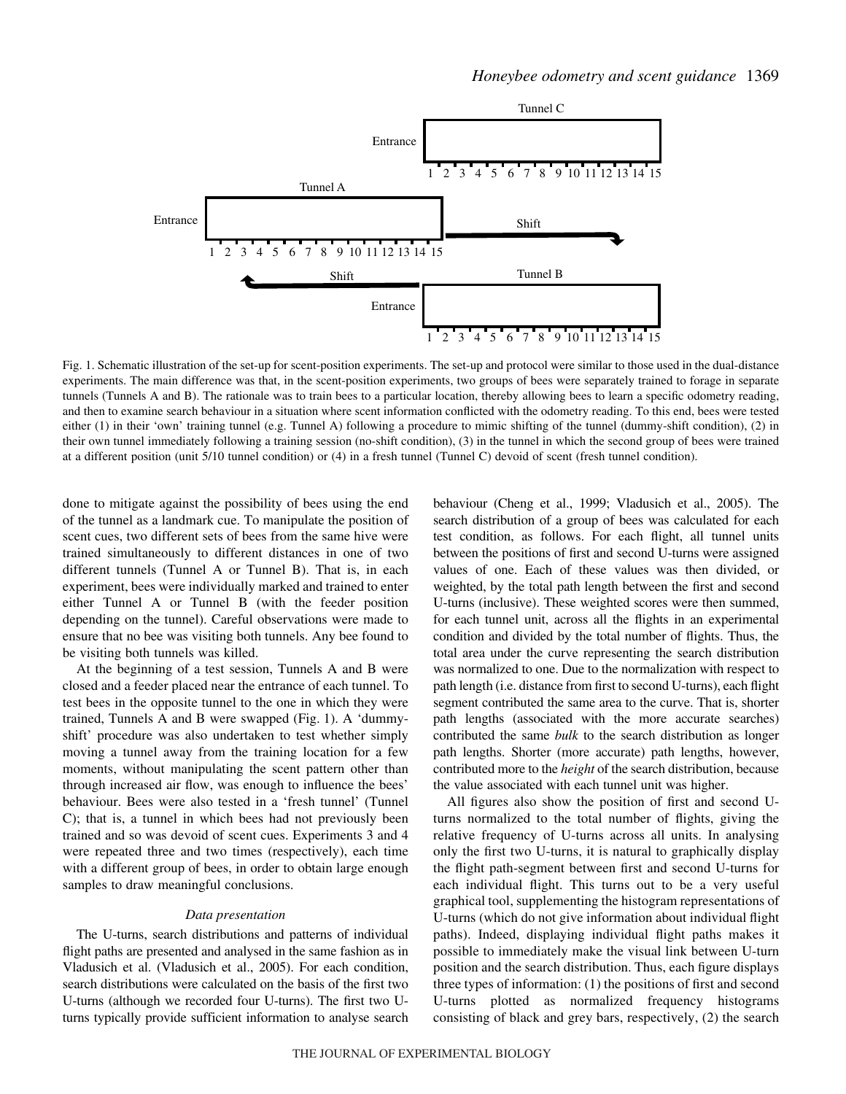

Fig. 1. Schematic illustration of the set-up for scent-position experiments. The set-up and protocol were similar to those used in the dual-distance experiments. The main difference was that, in the scent-position experiments, two groups of bees were separately trained to forage in separate tunnels (Tunnels A and B). The rationale was to train bees to a particular location, thereby allowing bees to learn a specific odometry reading, and then to examine search behaviour in a situation where scent information conflicted with the odometry reading. To this end, bees were tested either (1) in their 'own' training tunnel (e.g. Tunnel A) following a procedure to mimic shifting of the tunnel (dummy-shift condition), (2) in their own tunnel immediately following a training session (no-shift condition), (3) in the tunnel in which the second group of bees were trained at a different position (unit 5/10 tunnel condition) or (4) in a fresh tunnel (Tunnel C) devoid of scent (fresh tunnel condition).

done to mitigate against the possibility of bees using the end of the tunnel as a landmark cue. To manipulate the position of scent cues, two different sets of bees from the same hive were trained simultaneously to different distances in one of two different tunnels (Tunnel A or Tunnel B). That is, in each experiment, bees were individually marked and trained to enter either Tunnel A or Tunnel B (with the feeder position depending on the tunnel). Careful observations were made to ensure that no bee was visiting both tunnels. Any bee found to be visiting both tunnels was killed.

At the beginning of a test session, Tunnels A and B were closed and a feeder placed near the entrance of each tunnel. To test bees in the opposite tunnel to the one in which they were trained, Tunnels A and B were swapped (Fig. 1). A 'dummyshift' procedure was also undertaken to test whether simply moving a tunnel away from the training location for a few moments, without manipulating the scent pattern other than through increased air flow, was enough to influence the bees' behaviour. Bees were also tested in a 'fresh tunnel' (Tunnel C); that is, a tunnel in which bees had not previously been trained and so was devoid of scent cues. Experiments 3 and 4 were repeated three and two times (respectively), each time with a different group of bees, in order to obtain large enough samples to draw meaningful conclusions.

### *Data presentation*

The U-turns, search distributions and patterns of individual flight paths are presented and analysed in the same fashion as in Vladusich et al. (Vladusich et al., 2005). For each condition, search distributions were calculated on the basis of the first two U-turns (although we recorded four U-turns). The first two Uturns typically provide sufficient information to analyse search

behaviour (Cheng et al., 1999; Vladusich et al., 2005). The search distribution of a group of bees was calculated for each test condition, as follows. For each flight, all tunnel units between the positions of first and second U-turns were assigned values of one. Each of these values was then divided, or weighted, by the total path length between the first and second U-turns (inclusive). These weighted scores were then summed, for each tunnel unit, across all the flights in an experimental condition and divided by the total number of flights. Thus, the total area under the curve representing the search distribution was normalized to one. Due to the normalization with respect to path length (i.e. distance from first to second U-turns), each flight segment contributed the same area to the curve. That is, shorter path lengths (associated with the more accurate searches) contributed the same *bulk* to the search distribution as longer path lengths. Shorter (more accurate) path lengths, however, contributed more to the *height* of the search distribution, because the value associated with each tunnel unit was higher.

All figures also show the position of first and second Uturns normalized to the total number of flights, giving the relative frequency of U-turns across all units. In analysing only the first two U-turns, it is natural to graphically display the flight path-segment between first and second U-turns for each individual flight. This turns out to be a very useful graphical tool, supplementing the histogram representations of U-turns (which do not give information about individual flight paths). Indeed, displaying individual flight paths makes it possible to immediately make the visual link between U-turn position and the search distribution. Thus, each figure displays three types of information: (1) the positions of first and second U-turns plotted as normalized frequency histograms consisting of black and grey bars, respectively, (2) the search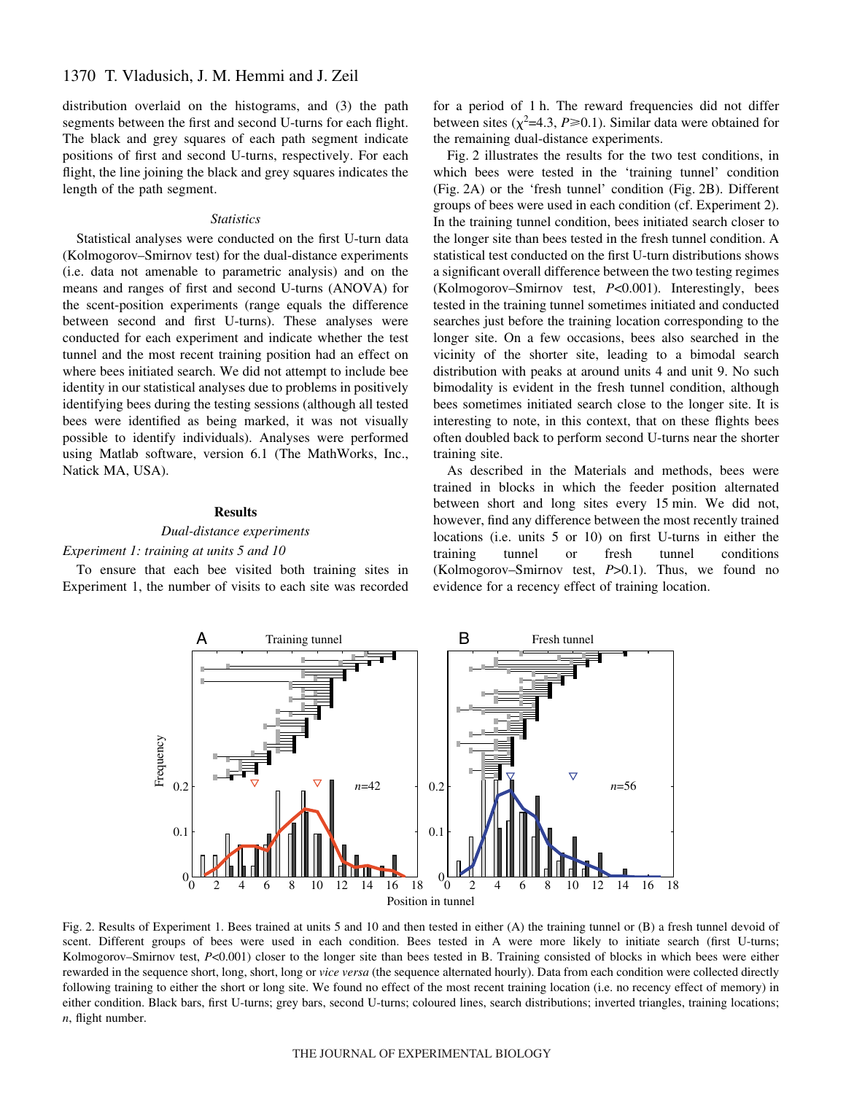# 1370 T. Vladusich, J. M. Hemmi and J. Zeil

distribution overlaid on the histograms, and (3) the path segments between the first and second U-turns for each flight. The black and grey squares of each path segment indicate positions of first and second U-turns, respectively. For each flight, the line joining the black and grey squares indicates the length of the path segment.

### *Statistics*

Statistical analyses were conducted on the first U-turn data (Kolmogorov–Smirnov test) for the dual-distance experiments (i.e. data not amenable to parametric analysis) and on the means and ranges of first and second U-turns (ANOVA) for the scent-position experiments (range equals the difference between second and first U-turns). These analyses were conducted for each experiment and indicate whether the test tunnel and the most recent training position had an effect on where bees initiated search. We did not attempt to include bee identity in our statistical analyses due to problems in positively identifying bees during the testing sessions (although all tested bees were identified as being marked, it was not visually possible to identify individuals). Analyses were performed using Matlab software, version 6.1 (The MathWorks, Inc., Natick MA, USA).

#### **Results**

# *Dual-distance experiments*

# *Experiment 1: training at units 5 and 10*

To ensure that each bee visited both training sites in Experiment 1, the number of visits to each site was recorded for a period of 1 h. The reward frequencies did not differ between sites ( $\chi^2$ =4.3, *P*  $\geq$ 0.1). Similar data were obtained for the remaining dual-distance experiments.

Fig. 2 illustrates the results for the two test conditions, in which bees were tested in the 'training tunnel' condition (Fig. 2A) or the 'fresh tunnel' condition (Fig. 2B). Different groups of bees were used in each condition (cf. Experiment 2). In the training tunnel condition, bees initiated search closer to the longer site than bees tested in the fresh tunnel condition. A statistical test conducted on the first U-turn distributions shows a significant overall difference between the two testing regimes (Kolmogorov–Smirnov test, *P*<0.001). Interestingly, bees tested in the training tunnel sometimes initiated and conducted searches just before the training location corresponding to the longer site. On a few occasions, bees also searched in the vicinity of the shorter site, leading to a bimodal search distribution with peaks at around units 4 and unit 9. No such bimodality is evident in the fresh tunnel condition, although bees sometimes initiated search close to the longer site. It is interesting to note, in this context, that on these flights bees often doubled back to perform second U-turns near the shorter training site.

As described in the Materials and methods, bees were trained in blocks in which the feeder position alternated between short and long sites every 15 min. We did not, however, find any difference between the most recently trained locations (i.e. units 5 or 10) on first U-turns in either the training tunnel or fresh tunnel conditions (Kolmogorov–Smirnov test, *P*>0.1). Thus, we found no evidence for a recency effect of training location.



Fig. 2. Results of Experiment 1. Bees trained at units 5 and 10 and then tested in either (A) the training tunnel or (B) a fresh tunnel devoid of scent. Different groups of bees were used in each condition. Bees tested in A were more likely to initiate search (first U-turns; Kolmogorov–Smirnov test,  $P<0.001$ ) closer to the longer site than bees tested in B. Training consisted of blocks in which bees were either rewarded in the sequence short, long, short, long or *vice versa* (the sequence alternated hourly). Data from each condition were collected directly following training to either the short or long site. We found no effect of the most recent training location (i.e. no recency effect of memory) in either condition. Black bars, first U-turns; grey bars, second U-turns; coloured lines, search distributions; inverted triangles, training locations; *n*, flight number.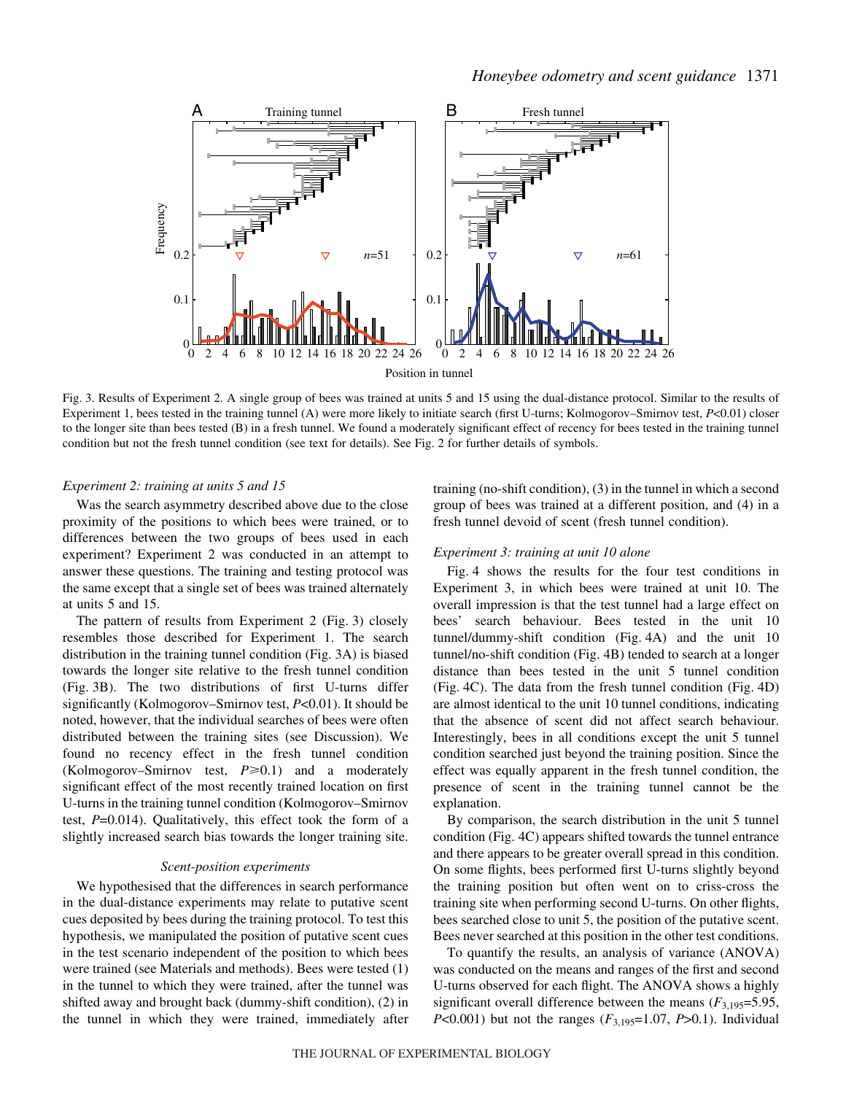

Fig. 3. Results of Experiment 2. A single group of bees was trained at units 5 and 15 using the dual-distance protocol. Similar to the results of Experiment 1, bees tested in the training tunnel (A) were more likely to initiate search (first U-turns; Kolmogorov–Smirnov test, *P*<0.01) closer to the longer site than bees tested (B) in a fresh tunnel. We found a moderately significant effect of recency for bees tested in the training tunnel condition but not the fresh tunnel condition (see text for details). See Fig. 2 for further details of symbols.

### *Experiment 2: training at units 5 and 15*

Was the search asymmetry described above due to the close proximity of the positions to which bees were trained, or to differences between the two groups of bees used in each experiment? Experiment 2 was conducted in an attempt to answer these questions. The training and testing protocol was the same except that a single set of bees was trained alternately at units 5 and 15.

The pattern of results from Experiment 2 (Fig. 3) closely resembles those described for Experiment 1. The search distribution in the training tunnel condition (Fig. 3A) is biased towards the longer site relative to the fresh tunnel condition (Fig. 3B). The two distributions of first U-turns differ significantly (Kolmogorov–Smirnov test, *P*<0.01). It should be noted, however, that the individual searches of bees were often distributed between the training sites (see Discussion). We found no recency effect in the fresh tunnel condition (Kolmogorov–Smirnov test,  $P \ge 0.1$ ) and a moderately significant effect of the most recently trained location on first U-turns in the training tunnel condition (Kolmogorov–Smirnov test, *P*=0.014). Qualitatively, this effect took the form of a slightly increased search bias towards the longer training site.

#### *Scent-position experiments*

We hypothesised that the differences in search performance in the dual-distance experiments may relate to putative scent cues deposited by bees during the training protocol. To test this hypothesis, we manipulated the position of putative scent cues in the test scenario independent of the position to which bees were trained (see Materials and methods). Bees were tested (1) in the tunnel to which they were trained, after the tunnel was shifted away and brought back (dummy-shift condition), (2) in the tunnel in which they were trained, immediately after training (no-shift condition), (3) in the tunnel in which a second group of bees was trained at a different position, and (4) in a fresh tunnel devoid of scent (fresh tunnel condition).

# *Experiment 3: training at unit 10 alone*

Fig. 4 shows the results for the four test conditions in Experiment 3, in which bees were trained at unit 10. The overall impression is that the test tunnel had a large effect on bees' search behaviour. Bees tested in the unit 10  $tunnel/dummy-shift condition (Fig. 4A) and the unit 10$ tunnel/no-shift condition (Fig. 4B) tended to search at a longer distance than bees tested in the unit 5 tunnel condition  $(Fig. 4C)$ . The data from the fresh tunnel condition  $(Fig. 4D)$ are almost identical to the unit 10 tunnel conditions, indicating that the absence of scent did not affect search behaviour. Interestingly, bees in all conditions except the unit 5 tunnel condition searched just beyond the training position. Since the effect was equally apparent in the fresh tunnel condition, the presence of scent in the training tunnel cannot be the explanation.

By comparison, the search distribution in the unit 5 tunnel condition (Fig. 4C) appears shifted towards the tunnel entrance and there appears to be greater overall spread in this condition. On some flights, bees performed first U-turns slightly beyond the training position but often went on to criss-cross the training site when performing second U-turns. On other flights, bees searched close to unit 5, the position of the putative scent. Bees never searched at this position in the other test conditions.

To quantify the results, an analysis of variance (ANOVA) was conducted on the means and ranges of the first and second U-turns observed for each flight. The ANOVA shows a highly significant overall difference between the means  $(F_{3,195}=5.95,$ *P*<0.001) but not the ranges (*F*3,195=1.07, *P*>0.1). Individual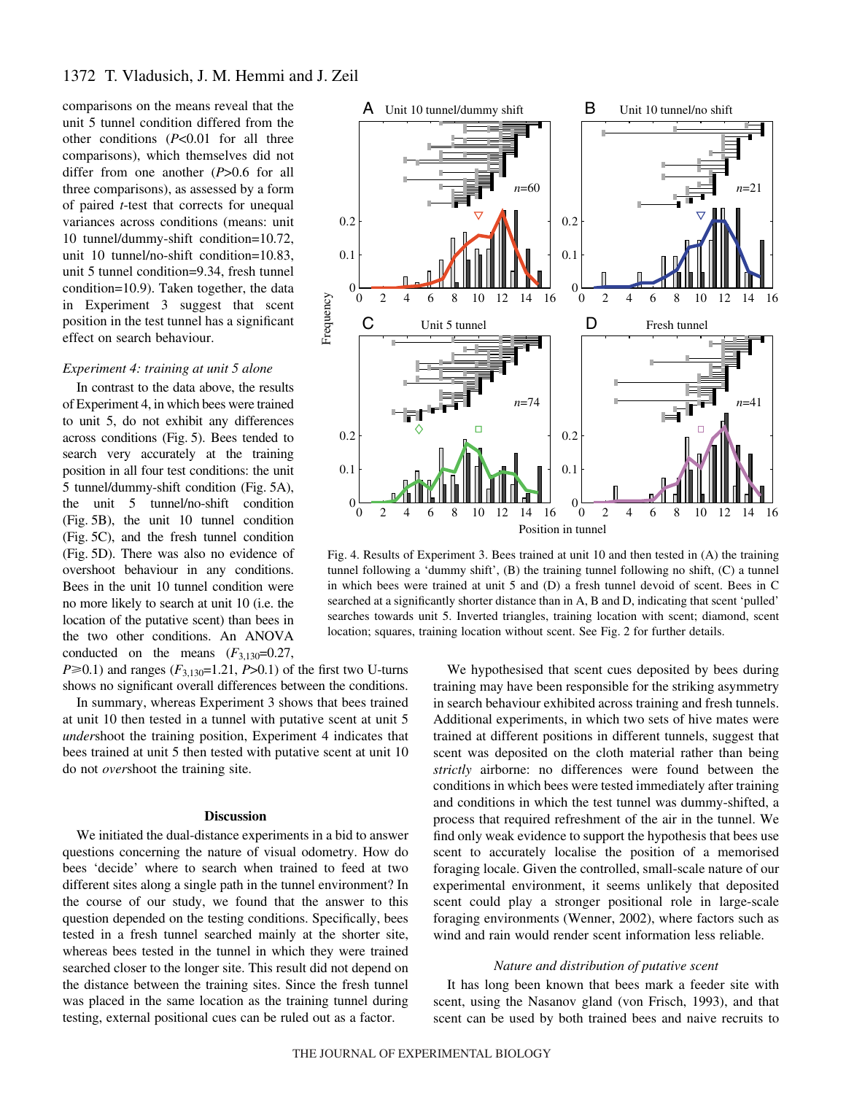# 1372 T. Vladusich, J. M. Hemmi and J. Zeil

comparisons on the means reveal that the unit 5 tunnel condition differed from the other conditions (*P*<0.01 for all three comparisons), which themselves did not differ from one another (*P*>0.6 for all three comparisons), as assessed by a form of paired *t*-test that corrects for unequal variances across conditions (means: unit 10 tunnel/dummy-shift condition=10.72, unit 10 tunnel/no-shift condition=10.83, unit 5 tunnel condition=9.34, fresh tunnel condition=10.9). Taken together, the data in Experiment 3 suggest that scent position in the test tunnel has a significant effect on search behaviour.

#### *Experiment 4: training at unit 5 alone*

In contrast to the data above, the results of Experiment 4, in which bees were trained to unit 5, do not exhibit any differences across conditions (Fig. 5). Bees tended to search very accurately at the training position in all four test conditions: the unit 5 tunnel/dummy-shift condition (Fig. 5A), the unit 5 tunnel/no-shift condition  $(Fig. 5B)$ , the unit 10 tunnel condition (Fig. 5C), and the fresh tunnel condition (Fig. 5D). There was also no evidence of overshoot behaviour in any conditions. Bees in the unit 10 tunnel condition were no more likely to search at unit 10 (i.e. the location of the putative scent) than bees in the two other conditions. An ANOVA conducted on the means  $(F_{3,130}=0.27)$ , *P*≥0.1) and ranges (*F*<sub>3,130</sub>=1.21, *P*>0.1) of the first two U-turns

shows no significant overall differences between the conditions. In summary, whereas Experiment 3 shows that bees trained at unit 10 then tested in a tunnel with putative scent at unit 5 *under*shoot the training position, Experiment 4 indicates that bees trained at unit 5 then tested with putative scent at unit 10 do not *over*shoot the training site.

#### **Discussion**

We initiated the dual-distance experiments in a bid to answer questions concerning the nature of visual odometry. How do bees 'decide' where to search when trained to feed at two different sites along a single path in the tunnel environment? In the course of our study, we found that the answer to this question depended on the testing conditions. Specifically, bees tested in a fresh tunnel searched mainly at the shorter site, whereas bees tested in the tunnel in which they were trained searched closer to the longer site. This result did not depend on the distance between the training sites. Since the fresh tunnel was placed in the same location as the training tunnel during testing, external positional cues can be ruled out as a factor.



Fig. 4. Results of Experiment 3. Bees trained at unit 10 and then tested in (A) the training tunnel following a 'dummy shift', (B) the training tunnel following no shift, (C) a tunnel in which bees were trained at unit 5 and (D) a fresh tunnel devoid of scent. Bees in C searched at a significantly shorter distance than in A, B and D, indicating that scent 'pulled' searches towards unit 5. Inverted triangles, training location with scent; diamond, scent location; squares, training location without scent. See Fig. 2 for further details.

We hypothesised that scent cues deposited by bees during training may have been responsible for the striking asymmetry in search behaviour exhibited across training and fresh tunnels. Additional experiments, in which two sets of hive mates were trained at different positions in different tunnels, suggest that scent was deposited on the cloth material rather than being *strictly* airborne: no differences were found between the conditions in which bees were tested immediately after training and conditions in which the test tunnel was dummy-shifted, a process that required refreshment of the air in the tunnel. We find only weak evidence to support the hypothesis that bees use scent to accurately localise the position of a memorised foraging locale. Given the controlled, small-scale nature of our experimental environment, it seems unlikely that deposited scent could play a stronger positional role in large-scale foraging environments (Wenner, 2002), where factors such as wind and rain would render scent information less reliable.

#### *Nature and distribution of putative scent*

It has long been known that bees mark a feeder site with scent, using the Nasanov gland (von Frisch, 1993), and that scent can be used by both trained bees and naive recruits to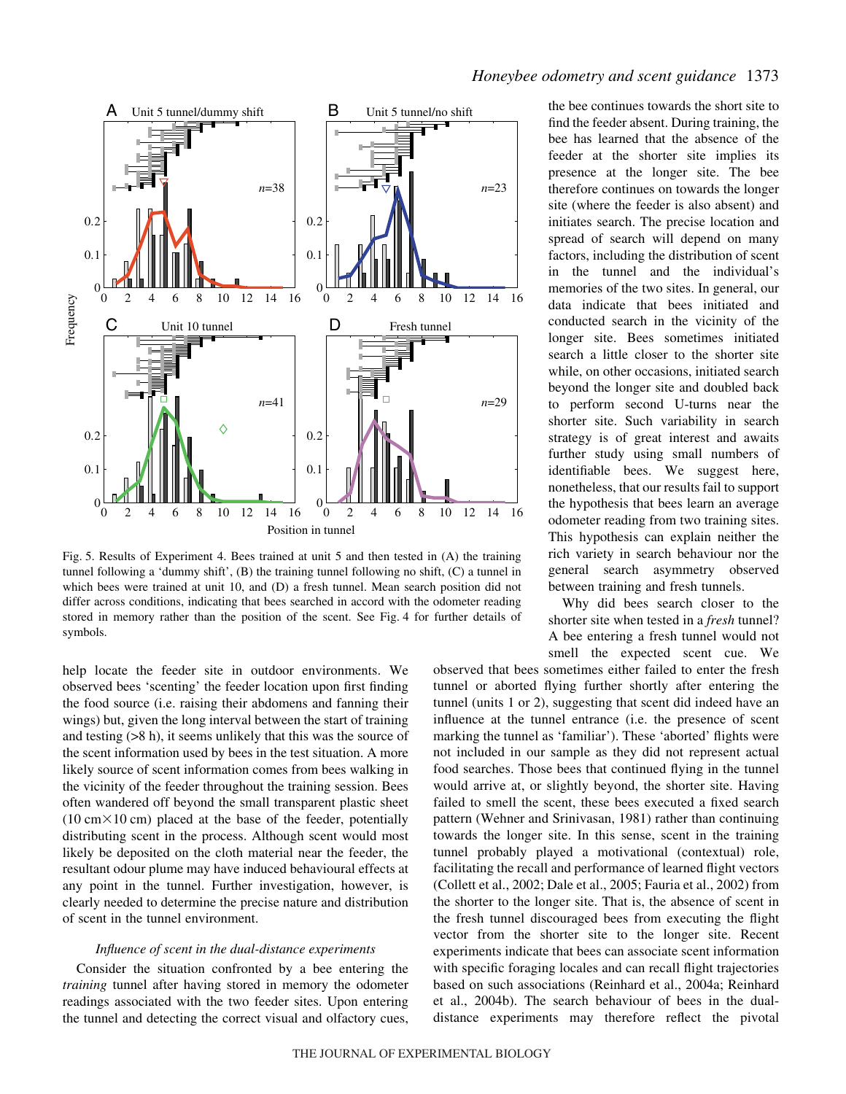

Fig. 5. Results of Experiment 4. Bees trained at unit 5 and then tested in  $(A)$  the training tunnel following a 'dummy shift', (B) the training tunnel following no shift, (C) a tunnel in which bees were trained at unit 10, and (D) a fresh tunnel. Mean search position did not differ across conditions, indicating that bees searched in accord with the odometer reading stored in memory rather than the position of the scent. See Fig. 4 for further details of symbols.

help locate the feeder site in outdoor environments. We observed bees 'scenting' the feeder location upon first finding the food source (i.e. raising their abdomens and fanning their wings) but, given the long interval between the start of training and testing  $(>8 h)$ , it seems unlikely that this was the source of the scent information used by bees in the test situation. A more likely source of scent information comes from bees walking in the vicinity of the feeder throughout the training session. Bees often wandered off beyond the small transparent plastic sheet  $(10 \text{ cm} \times 10 \text{ cm})$  placed at the base of the feeder, potentially distributing scent in the process. Although scent would most likely be deposited on the cloth material near the feeder, the resultant odour plume may have induced behavioural effects at any point in the tunnel. Further investigation, however, is clearly needed to determine the precise nature and distribution of scent in the tunnel environment.

# *Influence of scent in the dual-distance experiments*

Consider the situation confronted by a bee entering the *training* tunnel after having stored in memory the odometer readings associated with the two feeder sites. Upon entering the tunnel and detecting the correct visual and olfactory cues,

the bee continues towards the short site to find the feeder absent. During training, the bee has learned that the absence of the feeder at the shorter site implies its presence at the longer site. The bee therefore continues on towards the longer site (where the feeder is also absent) and initiates search. The precise location and spread of search will depend on many factors, including the distribution of scent in the tunnel and the individual's memories of the two sites. In general, our data indicate that bees initiated and conducted search in the vicinity of the longer site. Bees sometimes initiated search a little closer to the shorter site while, on other occasions, initiated search beyond the longer site and doubled back to perform second U-turns near the shorter site. Such variability in search strategy is of great interest and awaits further study using small numbers of identifiable bees. We suggest here, nonetheless, that our results fail to support the hypothesis that bees learn an average odometer reading from two training sites. This hypothesis can explain neither the rich variety in search behaviour nor the general search asymmetry observed between training and fresh tunnels.

Why did bees search closer to the shorter site when tested in a *fresh* tunnel? A bee entering a fresh tunnel would not smell the expected scent cue. We

observed that bees sometimes either failed to enter the fresh tunnel or aborted flying further shortly after entering the tunnel (units 1 or 2), suggesting that scent did indeed have an influence at the tunnel entrance (i.e. the presence of scent marking the tunnel as 'familiar'). These 'aborted' flights were not included in our sample as they did not represent actual food searches. Those bees that continued flying in the tunnel would arrive at, or slightly beyond, the shorter site. Having failed to smell the scent, these bees executed a fixed search pattern (Wehner and Srinivasan, 1981) rather than continuing towards the longer site. In this sense, scent in the training tunnel probably played a motivational (contextual) role, facilitating the recall and performance of learned flight vectors (Collett et al., 2002; Dale et al., 2005; Fauria et al., 2002) from the shorter to the longer site. That is, the absence of scent in the fresh tunnel discouraged bees from executing the flight vector from the shorter site to the longer site. Recent experiments indicate that bees can associate scent information with specific foraging locales and can recall flight trajectories based on such associations (Reinhard et al., 2004a; Reinhard et al., 2004b). The search behaviour of bees in the dualdistance experiments may therefore reflect the pivotal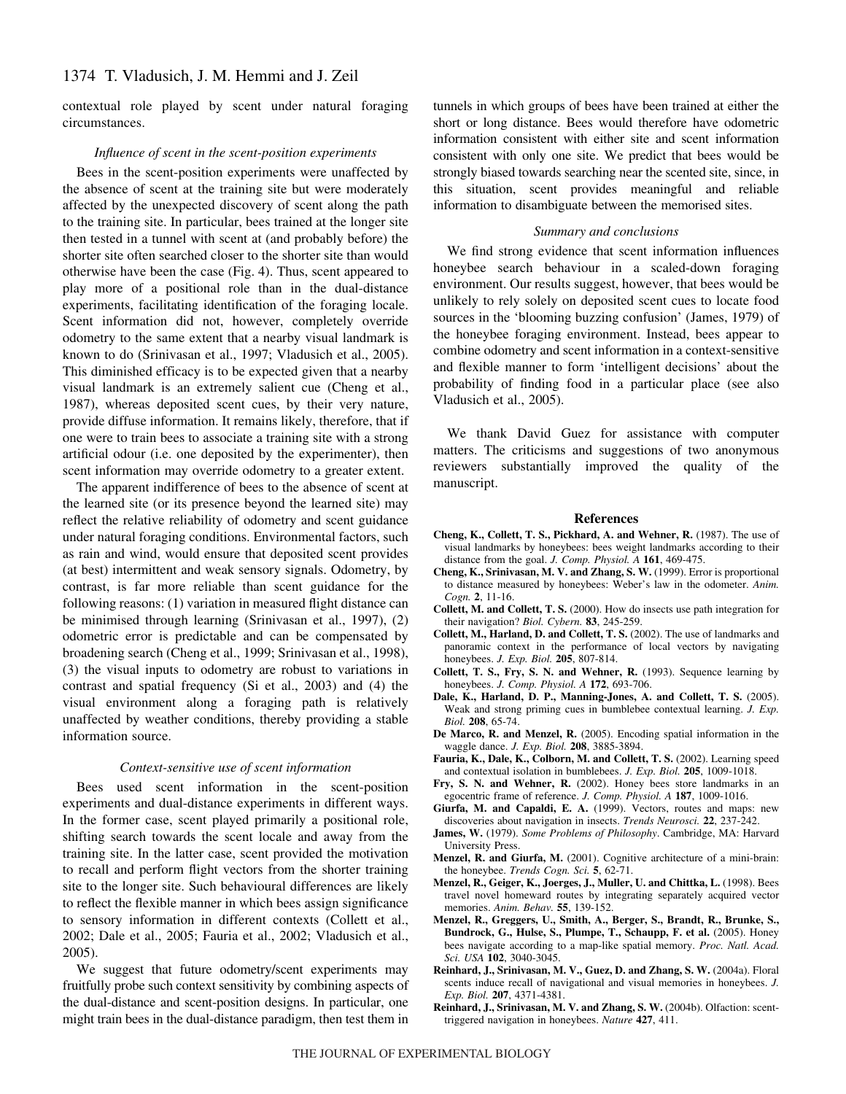# 1374 T. Vladusich, J. M. Hemmi and J. Zeil

contextual role played by scent under natural foraging circumstances.

### *Influence of scent in the scent-position experiments*

Bees in the scent-position experiments were unaffected by the absence of scent at the training site but were moderately affected by the unexpected discovery of scent along the path to the training site. In particular, bees trained at the longer site then tested in a tunnel with scent at (and probably before) the shorter site often searched closer to the shorter site than would otherwise have been the case (Fig. 4). Thus, scent appeared to play more of a positional role than in the dual-distance experiments, facilitating identification of the foraging locale. Scent information did not, however, completely override odometry to the same extent that a nearby visual landmark is known to do (Srinivasan et al., 1997; Vladusich et al., 2005). This diminished efficacy is to be expected given that a nearby visual landmark is an extremely salient cue (Cheng et al., 1987), whereas deposited scent cues, by their very nature, provide diffuse information. It remains likely, therefore, that if one were to train bees to associate a training site with a strong artificial odour (i.e. one deposited by the experimenter), then scent information may override odometry to a greater extent.

The apparent indifference of bees to the absence of scent at the learned site (or its presence beyond the learned site) may reflect the relative reliability of odometry and scent guidance under natural foraging conditions. Environmental factors, such as rain and wind, would ensure that deposited scent provides (at best) intermittent and weak sensory signals. Odometry, by contrast, is far more reliable than scent guidance for the following reasons: (1) variation in measured flight distance can be minimised through learning (Srinivasan et al., 1997), (2) odometric error is predictable and can be compensated by broadening search (Cheng et al., 1999; Srinivasan et al., 1998), (3) the visual inputs to odometry are robust to variations in contrast and spatial frequency (Si et al., 2003) and (4) the visual environment along a foraging path is relatively unaffected by weather conditions, thereby providing a stable information source.

### *Context-sensitive use of scent information*

Bees used scent information in the scent-position experiments and dual-distance experiments in different ways. In the former case, scent played primarily a positional role, shifting search towards the scent locale and away from the training site. In the latter case, scent provided the motivation to recall and perform flight vectors from the shorter training site to the longer site. Such behavioural differences are likely to reflect the flexible manner in which bees assign significance to sensory information in different contexts (Collett et al., 2002; Dale et al., 2005; Fauria et al., 2002; Vladusich et al., 2005).

We suggest that future odometry/scent experiments may fruitfully probe such context sensitivity by combining aspects of the dual-distance and scent-position designs. In particular, one might train bees in the dual-distance paradigm, then test them in

tunnels in which groups of bees have been trained at either the short or long distance. Bees would therefore have odometric information consistent with either site and scent information consistent with only one site. We predict that bees would be strongly biased towards searching near the scented site, since, in this situation, scent provides meaningful and reliable information to disambiguate between the memorised sites.

#### *Summary and conclusions*

We find strong evidence that scent information influences honeybee search behaviour in a scaled-down foraging environment. Our results suggest, however, that bees would be unlikely to rely solely on deposited scent cues to locate food sources in the 'blooming buzzing confusion' (James, 1979) of the honeybee foraging environment. Instead, bees appear to combine odometry and scent information in a context-sensitive and flexible manner to form 'intelligent decisions' about the probability of finding food in a particular place (see also Vladusich et al., 2005).

We thank David Guez for assistance with computer matters. The criticisms and suggestions of two anonymous reviewers substantially improved the quality of the manuscript.

#### **References**

- **Cheng, K., Collett, T. S., Pickhard, A. and Wehner, R.** (1987). The use of visual landmarks by honeybees: bees weight landmarks according to their distance from the goal. *J. Comp. Physiol. A* **161**, 469-475.
- **Cheng, K., Srinivasan, M. V. and Zhang, S. W.** (1999). Error is proportional to distance measured by honeybees: Weber's law in the odometer. *Anim. Cogn.* **2**, 11-16.
- **Collett, M. and Collett, T. S.** (2000). How do insects use path integration for their navigation? *Biol. Cybern.* **83**, 245-259.
- **Collett, M., Harland, D. and Collett, T. S.** (2002). The use of landmarks and panoramic context in the performance of local vectors by navigating honeybees. *J. Exp. Biol.* **205**, 807-814.
- **Collett, T. S., Fry, S. N. and Wehner, R.** (1993). Sequence learning by honeybees. *J. Comp. Physiol. A* **172**, 693-706.
- **Dale, K., Harland, D. P., Manning-Jones, A. and Collett, T. S.** (2005). Weak and strong priming cues in bumblebee contextual learning. *J. Exp. Biol.* **208**, 65-74.
- **De Marco, R. and Menzel, R.** (2005). Encoding spatial information in the waggle dance. *J. Exp. Biol.* **208**, 3885-3894.
- **Fauria, K., Dale, K., Colborn, M. and Collett, T. S.** (2002). Learning speed and contextual isolation in bumblebees. *J. Exp. Biol.* **205**, 1009-1018.
- **Fry, S. N. and Wehner, R.** (2002). Honey bees store landmarks in an egocentric frame of reference. *J. Comp. Physiol. A* **187**, 1009-1016.
- **Giurfa, M. and Capaldi, E. A.** (1999). Vectors, routes and maps: new discoveries about navigation in insects. *Trends Neurosci.* **22**, 237-242.
- **James, W.** (1979). *Some Problems of Philosophy*. Cambridge, MA: Harvard University Press.
- **Menzel, R. and Giurfa, M.** (2001). Cognitive architecture of a mini-brain: the honeybee. *Trends Cogn. Sci.* **5**, 62-71.
- **Menzel, R., Geiger, K., Joerges, J., Muller, U. and Chittka, L.** (1998). Bees travel novel homeward routes by integrating separately acquired vector memories. *Anim. Behav.* **55**, 139-152.
- **Menzel, R., Greggers, U., Smith, A., Berger, S., Brandt, R., Brunke, S., Bundrock, G., Hulse, S., Plumpe, T., Schaupp, F. et al.** (2005). Honey bees navigate according to a map-like spatial memory. *Proc. Natl. Acad. Sci. USA* **102**, 3040-3045.
- **Reinhard, J., Srinivasan, M. V., Guez, D. and Zhang, S. W.** (2004a). Floral scents induce recall of navigational and visual memories in honeybees. *J. Exp. Biol.* **207**, 4371-4381.
- **Reinhard, J., Srinivasan, M. V. and Zhang, S. W.** (2004b). Olfaction: scenttriggered navigation in honeybees. *Nature* **427**, 411.